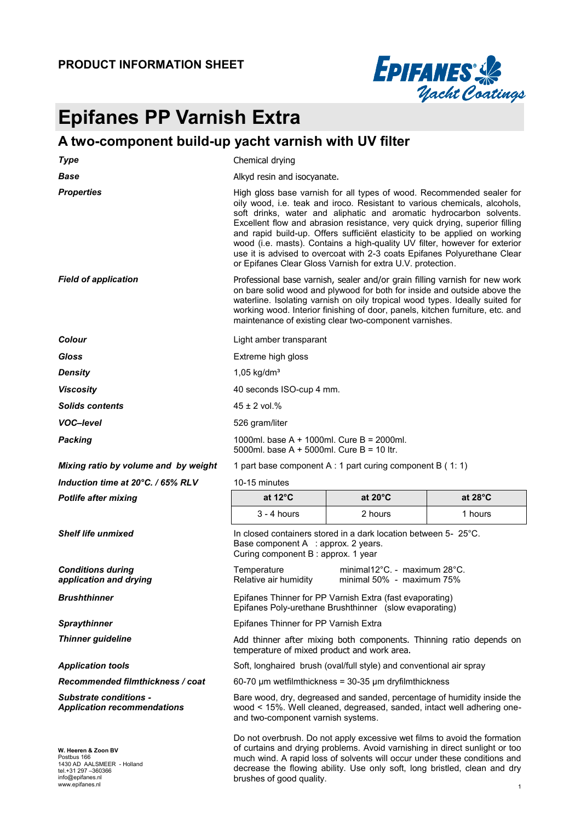

# **Epifanes PP Varnish Extra**

### **A two-component build-up yacht varnish with UV filter**

| <b>Type</b>                                                         | Chemical drying                                                                                                                                                                                                                                                                                                                                                                                                                                                                                                                                                                                               |                                                                                                                                                   |                   |  |
|---------------------------------------------------------------------|---------------------------------------------------------------------------------------------------------------------------------------------------------------------------------------------------------------------------------------------------------------------------------------------------------------------------------------------------------------------------------------------------------------------------------------------------------------------------------------------------------------------------------------------------------------------------------------------------------------|---------------------------------------------------------------------------------------------------------------------------------------------------|-------------------|--|
| <b>Base</b>                                                         | Alkyd resin and isocyanate.                                                                                                                                                                                                                                                                                                                                                                                                                                                                                                                                                                                   |                                                                                                                                                   |                   |  |
| <b>Properties</b>                                                   | High gloss base varnish for all types of wood. Recommended sealer for<br>oily wood, i.e. teak and iroco. Resistant to various chemicals, alcohols,<br>soft drinks, water and aliphatic and aromatic hydrocarbon solvents.<br>Excellent flow and abrasion resistance, very quick drying, superior filling<br>and rapid build-up. Offers sufficient elasticity to be applied on working<br>wood (i.e. masts). Contains a high-quality UV filter, however for exterior<br>use it is advised to overcoat with 2-3 coats Epifanes Polyurethane Clear<br>or Epifanes Clear Gloss Varnish for extra U.V. protection. |                                                                                                                                                   |                   |  |
| <b>Field of application</b>                                         | Professional base varnish, sealer and/or grain filling varnish for new work<br>on bare solid wood and plywood for both for inside and outside above the<br>waterline. Isolating varnish on oily tropical wood types. Ideally suited for<br>working wood. Interior finishing of door, panels, kitchen furniture, etc. and<br>maintenance of existing clear two-component varnishes.                                                                                                                                                                                                                            |                                                                                                                                                   |                   |  |
| Colour                                                              | Light amber transparant                                                                                                                                                                                                                                                                                                                                                                                                                                                                                                                                                                                       |                                                                                                                                                   |                   |  |
| Gloss                                                               | Extreme high gloss                                                                                                                                                                                                                                                                                                                                                                                                                                                                                                                                                                                            |                                                                                                                                                   |                   |  |
| <b>Density</b>                                                      | $1,05$ kg/dm <sup>3</sup>                                                                                                                                                                                                                                                                                                                                                                                                                                                                                                                                                                                     |                                                                                                                                                   |                   |  |
| <b>Viscosity</b>                                                    | 40 seconds ISO-cup 4 mm.                                                                                                                                                                                                                                                                                                                                                                                                                                                                                                                                                                                      |                                                                                                                                                   |                   |  |
| <b>Solids contents</b>                                              | $45 \pm 2$ vol.%                                                                                                                                                                                                                                                                                                                                                                                                                                                                                                                                                                                              |                                                                                                                                                   |                   |  |
| <b>VOC-level</b>                                                    | 526 gram/liter                                                                                                                                                                                                                                                                                                                                                                                                                                                                                                                                                                                                |                                                                                                                                                   |                   |  |
| <b>Packing</b>                                                      | 1000ml, base A + 1000ml, Cure B = 2000ml,<br>5000ml. base A + 5000ml. Cure B = 10 ltr.                                                                                                                                                                                                                                                                                                                                                                                                                                                                                                                        |                                                                                                                                                   |                   |  |
| Mixing ratio by volume and by weight                                | 1 part base component A : 1 part curing component B $(1:1)$                                                                                                                                                                                                                                                                                                                                                                                                                                                                                                                                                   |                                                                                                                                                   |                   |  |
| Induction time at 20°C. / 65% RLV                                   | 10-15 minutes                                                                                                                                                                                                                                                                                                                                                                                                                                                                                                                                                                                                 |                                                                                                                                                   |                   |  |
| <b>Potlife after mixing</b>                                         | at $12^{\circ}$ C                                                                                                                                                                                                                                                                                                                                                                                                                                                                                                                                                                                             | at $20^{\circ}$ C                                                                                                                                 | at $28^{\circ}$ C |  |
|                                                                     | $3 - 4$ hours                                                                                                                                                                                                                                                                                                                                                                                                                                                                                                                                                                                                 | 2 hours                                                                                                                                           | 1 hours           |  |
| <b>Shelf life unmixed</b>                                           | In closed containers stored in a dark location between 5- 25°C.<br>Base component A : approx. 2 years.<br>Curing component B: approx. 1 year                                                                                                                                                                                                                                                                                                                                                                                                                                                                  |                                                                                                                                                   |                   |  |
|                                                                     |                                                                                                                                                                                                                                                                                                                                                                                                                                                                                                                                                                                                               |                                                                                                                                                   |                   |  |
| <b>Conditions during</b><br>application and drying                  | Temperature<br>Relative air humidity                                                                                                                                                                                                                                                                                                                                                                                                                                                                                                                                                                          | minimal12°C. - maximum 28°C.<br>minimal 50% - maximum 75%                                                                                         |                   |  |
| <b>Brushthinner</b>                                                 |                                                                                                                                                                                                                                                                                                                                                                                                                                                                                                                                                                                                               | Epifanes Thinner for PP Varnish Extra (fast evaporating)<br>Epifanes Poly-urethane Brushthinner (slow evaporating)                                |                   |  |
| <b>Spraythinner</b>                                                 | Epifanes Thinner for PP Varnish Extra                                                                                                                                                                                                                                                                                                                                                                                                                                                                                                                                                                         |                                                                                                                                                   |                   |  |
| <b>Thinner guideline</b>                                            | temperature of mixed product and work area.                                                                                                                                                                                                                                                                                                                                                                                                                                                                                                                                                                   | Add thinner after mixing both components. Thinning ratio depends on                                                                               |                   |  |
| <b>Application tools</b>                                            |                                                                                                                                                                                                                                                                                                                                                                                                                                                                                                                                                                                                               | Soft, longhaired brush (oval/full style) and conventional air spray                                                                               |                   |  |
| Recommended filmthickness / coat                                    |                                                                                                                                                                                                                                                                                                                                                                                                                                                                                                                                                                                                               | $60-70$ µm wetfilmthickness = 30-35 µm dryfilmthickness                                                                                           |                   |  |
| <b>Substrate conditions -</b><br><b>Application recommendations</b> | and two-component varnish systems.                                                                                                                                                                                                                                                                                                                                                                                                                                                                                                                                                                            | Bare wood, dry, degreased and sanded, percentage of humidity inside the<br>wood < 15%. Well cleaned, degreased, sanded, intact well adhering one- |                   |  |